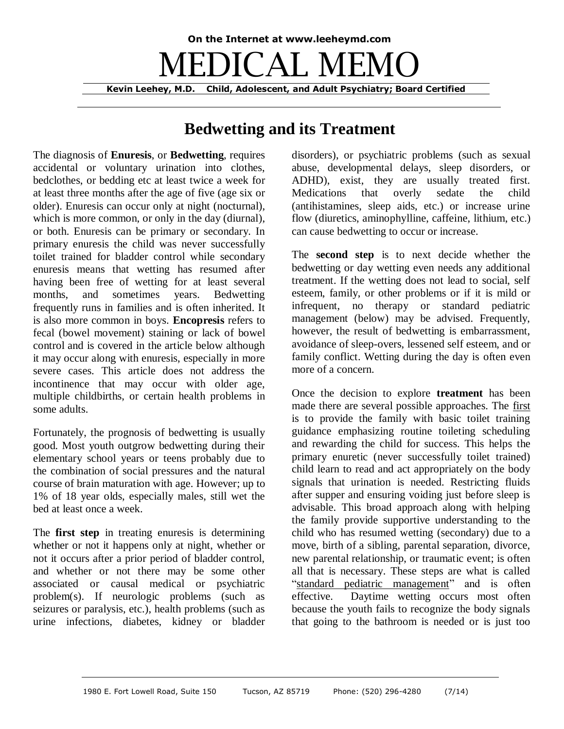## **On the Internet at www.leeheymd.com** EDICAL MEI **Kevin Leehey, M.D. Child, Adolescent, and Adult Psychiatry; Board Certified**

## **Bedwetting and its Treatment**

The diagnosis of **Enuresis**, or **Bedwetting**, requires accidental or voluntary urination into clothes, bedclothes, or bedding etc at least twice a week for at least three months after the age of five (age six or older). Enuresis can occur only at night (nocturnal), which is more common, or only in the day (diurnal), or both. Enuresis can be primary or secondary. In primary enuresis the child was never successfully toilet trained for bladder control while secondary enuresis means that wetting has resumed after having been free of wetting for at least several months, and sometimes years. Bedwetting frequently runs in families and is often inherited. It is also more common in boys. **Encopresis** refers to fecal (bowel movement) staining or lack of bowel control and is covered in the article below although it may occur along with enuresis, especially in more severe cases. This article does not address the incontinence that may occur with older age, multiple childbirths, or certain health problems in some adults.

Fortunately, the prognosis of bedwetting is usually good. Most youth outgrow bedwetting during their elementary school years or teens probably due to the combination of social pressures and the natural course of brain maturation with age. However; up to 1% of 18 year olds, especially males, still wet the bed at least once a week.

The **first step** in treating enuresis is determining whether or not it happens only at night, whether or not it occurs after a prior period of bladder control, and whether or not there may be some other associated or causal medical or psychiatric problem(s). If neurologic problems (such as seizures or paralysis, etc.), health problems (such as urine infections, diabetes, kidney or bladder disorders), or psychiatric problems (such as sexual abuse, developmental delays, sleep disorders, or ADHD), exist, they are usually treated first. Medications that overly sedate the child (antihistamines, sleep aids, etc.) or increase urine flow (diuretics, aminophylline, caffeine, lithium, etc.) can cause bedwetting to occur or increase.

The **second step** is to next decide whether the bedwetting or day wetting even needs any additional treatment. If the wetting does not lead to social, self esteem, family, or other problems or if it is mild or infrequent, no therapy or standard pediatric management (below) may be advised. Frequently, however, the result of bedwetting is embarrassment, avoidance of sleep-overs, lessened self esteem, and or family conflict. Wetting during the day is often even more of a concern.

Once the decision to explore **treatment** has been made there are several possible approaches. The first is to provide the family with basic toilet training guidance emphasizing routine toileting scheduling and rewarding the child for success. This helps the primary enuretic (never successfully toilet trained) child learn to read and act appropriately on the body signals that urination is needed. Restricting fluids after supper and ensuring voiding just before sleep is advisable. This broad approach along with helping the family provide supportive understanding to the child who has resumed wetting (secondary) due to a move, birth of a sibling, parental separation, divorce, new parental relationship, or traumatic event; is often all that is necessary. These steps are what is called "standard pediatric management" and is often effective. Daytime wetting occurs most often because the youth fails to recognize the body signals that going to the bathroom is needed or is just too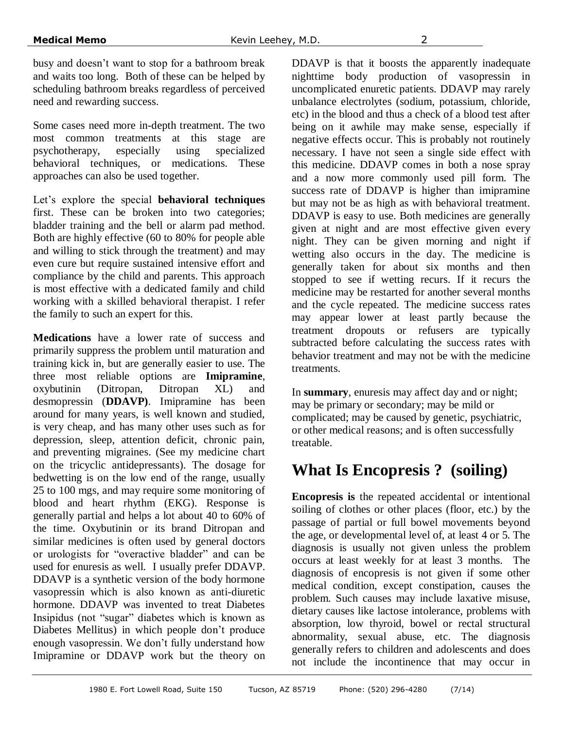busy and doesn't want to stop for a bathroom break and waits too long. Both of these can be helped by scheduling bathroom breaks regardless of perceived need and rewarding success.

Some cases need more in-depth treatment. The two most common treatments at this stage are psychotherapy, especially using specialized behavioral techniques, or medications. These approaches can also be used together.

Let's explore the special **behavioral techniques** first. These can be broken into two categories; bladder training and the bell or alarm pad method. Both are highly effective (60 to 80% for people able and willing to stick through the treatment) and may even cure but require sustained intensive effort and compliance by the child and parents. This approach is most effective with a dedicated family and child working with a skilled behavioral therapist. I refer the family to such an expert for this.

**Medications** have a lower rate of success and primarily suppress the problem until maturation and training kick in, but are generally easier to use. The three most reliable options are **Imipramine**, oxybutinin (Ditropan, Ditropan XL) and desmopressin (**DDAVP)**. Imipramine has been around for many years, is well known and studied, is very cheap, and has many other uses such as for depression, sleep, attention deficit, chronic pain, and preventing migraines. (See my medicine chart on the tricyclic antidepressants). The dosage for bedwetting is on the low end of the range, usually 25 to 100 mgs, and may require some monitoring of blood and heart rhythm (EKG). Response is generally partial and helps a lot about 40 to 60% of the time. Oxybutinin or its brand Ditropan and similar medicines is often used by general doctors or urologists for "overactive bladder" and can be used for enuresis as well. I usually prefer DDAVP. DDAVP is a synthetic version of the body hormone vasopressin which is also known as anti-diuretic hormone. DDAVP was invented to treat Diabetes Insipidus (not "sugar" diabetes which is known as Diabetes Mellitus) in which people don't produce enough vasopressin. We don't fully understand how Imipramine or DDAVP work but the theory on

DDAVP is that it boosts the apparently inadequate nighttime body production of vasopressin in uncomplicated enuretic patients. DDAVP may rarely unbalance electrolytes (sodium, potassium, chloride, etc) in the blood and thus a check of a blood test after being on it awhile may make sense, especially if negative effects occur. This is probably not routinely necessary. I have not seen a single side effect with this medicine. DDAVP comes in both a nose spray and a now more commonly used pill form. The success rate of DDAVP is higher than imipramine but may not be as high as with behavioral treatment. DDAVP is easy to use. Both medicines are generally given at night and are most effective given every night. They can be given morning and night if wetting also occurs in the day. The medicine is generally taken for about six months and then stopped to see if wetting recurs. If it recurs the medicine may be restarted for another several months and the cycle repeated. The medicine success rates may appear lower at least partly because the treatment dropouts or refusers are typically subtracted before calculating the success rates with behavior treatment and may not be with the medicine treatments.

In **summary**, enuresis may affect day and or night; may be primary or secondary; may be mild or complicated; may be caused by genetic, psychiatric, or other medical reasons; and is often successfully treatable.

## **What Is Encopresis ? (soiling)**

**Encopresis is** the repeated accidental or intentional soiling of clothes or other places (floor, etc.) by the passage of partial or full bowel movements beyond the age, or developmental level of, at least 4 or 5. The diagnosis is usually not given unless the problem occurs at least weekly for at least 3 months. The diagnosis of encopresis is not given if some other medical condition, except constipation, causes the problem. Such causes may include laxative misuse, dietary causes like lactose intolerance, problems with absorption, low thyroid, bowel or rectal structural abnormality, sexual abuse, etc. The diagnosis generally refers to children and adolescents and does not include the incontinence that may occur in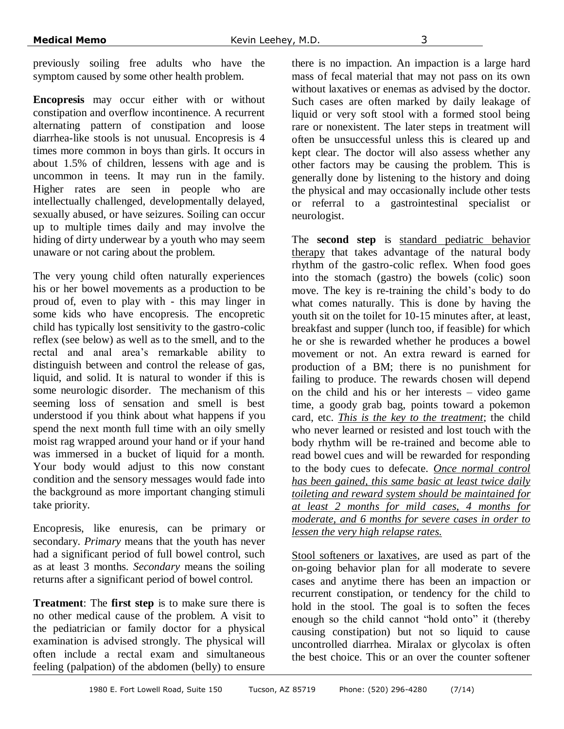previously soiling free adults who have the symptom caused by some other health problem.

**Encopresis** may occur either with or without constipation and overflow incontinence. A recurrent alternating pattern of constipation and loose diarrhea-like stools is not unusual. Encopresis is 4 times more common in boys than girls. It occurs in about 1.5% of children, lessens with age and is uncommon in teens. It may run in the family. Higher rates are seen in people who are intellectually challenged, developmentally delayed, sexually abused, or have seizures. Soiling can occur up to multiple times daily and may involve the hiding of dirty underwear by a youth who may seem unaware or not caring about the problem.

The very young child often naturally experiences his or her bowel movements as a production to be proud of, even to play with - this may linger in some kids who have encopresis. The encopretic child has typically lost sensitivity to the gastro-colic reflex (see below) as well as to the smell, and to the rectal and anal area's remarkable ability to distinguish between and control the release of gas, liquid, and solid. It is natural to wonder if this is some neurologic disorder. The mechanism of this seeming loss of sensation and smell is best understood if you think about what happens if you spend the next month full time with an oily smelly moist rag wrapped around your hand or if your hand was immersed in a bucket of liquid for a month. Your body would adjust to this now constant condition and the sensory messages would fade into the background as more important changing stimuli take priority.

Encopresis, like enuresis, can be primary or secondary. *Primary* means that the youth has never had a significant period of full bowel control, such as at least 3 months. *Secondary* means the soiling returns after a significant period of bowel control.

**Treatment**: The **first step** is to make sure there is no other medical cause of the problem. A visit to the pediatrician or family doctor for a physical examination is advised strongly. The physical will often include a rectal exam and simultaneous feeling (palpation) of the abdomen (belly) to ensure there is no impaction. An impaction is a large hard mass of fecal material that may not pass on its own without laxatives or enemas as advised by the doctor. Such cases are often marked by daily leakage of liquid or very soft stool with a formed stool being rare or nonexistent. The later steps in treatment will often be unsuccessful unless this is cleared up and kept clear. The doctor will also assess whether any other factors may be causing the problem. This is generally done by listening to the history and doing the physical and may occasionally include other tests or referral to a gastrointestinal specialist or neurologist.

The **second step** is standard pediatric behavior therapy that takes advantage of the natural body rhythm of the gastro-colic reflex. When food goes into the stomach (gastro) the bowels (colic) soon move. The key is re-training the child's body to do what comes naturally. This is done by having the youth sit on the toilet for 10-15 minutes after, at least, breakfast and supper (lunch too, if feasible) for which he or she is rewarded whether he produces a bowel movement or not. An extra reward is earned for production of a BM; there is no punishment for failing to produce. The rewards chosen will depend on the child and his or her interests – video game time, a goody grab bag, points toward a pokemon card, etc. *This is the key to the treatment*; the child who never learned or resisted and lost touch with the body rhythm will be re-trained and become able to read bowel cues and will be rewarded for responding to the body cues to defecate. *Once normal control has been gained, this same basic at least twice daily toileting and reward system should be maintained for at least 2 months for mild cases, 4 months for moderate, and 6 months for severe cases in order to lessen the very high relapse rates.*

Stool softeners or laxatives, are used as part of the on-going behavior plan for all moderate to severe cases and anytime there has been an impaction or recurrent constipation, or tendency for the child to hold in the stool. The goal is to soften the feces enough so the child cannot "hold onto" it (thereby causing constipation) but not so liquid to cause uncontrolled diarrhea. Miralax or glycolax is often the best choice. This or an over the counter softener